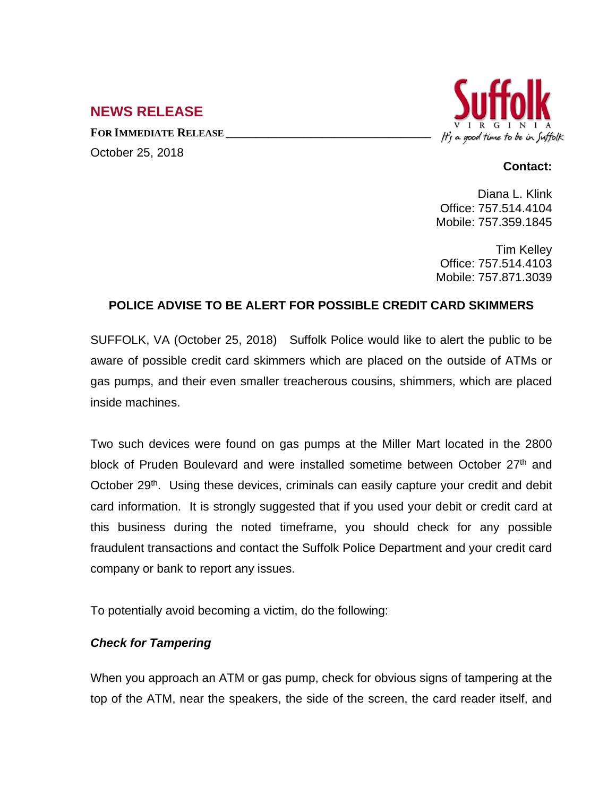# **NEWS RELEASE**

**FOR IMMEDIATE RELEASE \_\_\_\_\_\_\_\_\_\_\_\_\_\_\_\_\_\_\_\_\_\_\_\_\_\_\_\_\_\_\_\_\_\_** October 25, 2018



#### **Contact:**

Diana L. Klink Office: 757.514.4104 Mobile: 757.359.1845

Tim Kelley Office: 757.514.4103 Mobile: 757.871.3039

## **POLICE ADVISE TO BE ALERT FOR POSSIBLE CREDIT CARD SKIMMERS**

SUFFOLK, VA (October 25, 2018) Suffolk Police would like to alert the public to be aware of possible credit card skimmers which are placed on the outside of ATMs or gas pumps, and their even smaller treacherous cousins, shimmers, which are placed inside machines.

Two such devices were found on gas pumps at the Miller Mart located in the 2800 block of Pruden Boulevard and were installed sometime between October 27<sup>th</sup> and October 29<sup>th</sup>. Using these devices, criminals can easily capture your credit and debit card information. It is strongly suggested that if you used your debit or credit card at this business during the noted timeframe, you should check for any possible fraudulent transactions and contact the Suffolk Police Department and your credit card company or bank to report any issues.

To potentially avoid becoming a victim, do the following:

## *Check for Tampering*

When you approach an ATM or gas pump, check for obvious signs of tampering at the top of the ATM, near the speakers, the side of the screen, the card reader itself, and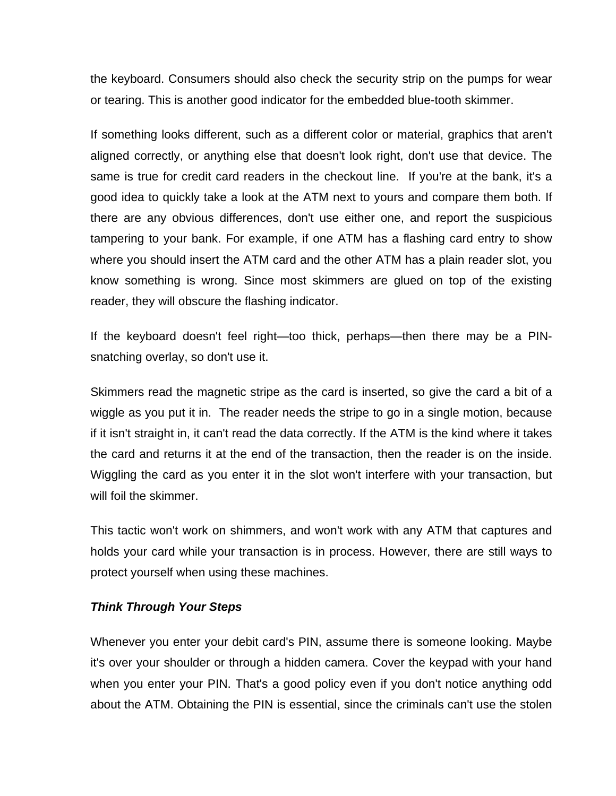the keyboard. Consumers should also check the security strip on the pumps for wear or tearing. This is another good indicator for the embedded blue-tooth skimmer.

If something looks different, such as a different color or material, graphics that aren't aligned correctly, or anything else that doesn't look right, don't use that device. The same is true for credit card readers in the checkout line. If you're at the bank, it's a good idea to quickly take a look at the ATM next to yours and compare them both. If there are any obvious differences, don't use either one, and report the suspicious tampering to your bank. For example, if one ATM has a flashing card entry to show where you should insert the ATM card and the other ATM has a plain reader slot, you know something is wrong. Since most skimmers are glued on top of the existing reader, they will obscure the flashing indicator.

If the keyboard doesn't feel right—too thick, perhaps—then there may be a PINsnatching overlay, so don't use it.

Skimmers read the magnetic stripe as the card is inserted, so give the card a bit of a wiggle as you put it in. The reader needs the stripe to go in a single motion, because if it isn't straight in, it can't read the data correctly. If the ATM is the kind where it takes the card and returns it at the end of the transaction, then the reader is on the inside. Wiggling the card as you enter it in the slot won't interfere with your transaction, but will foil the skimmer.

This tactic won't work on shimmers, and won't work with any ATM that captures and holds your card while your transaction is in process. However, there are still ways to protect yourself when using these machines.

#### *Think Through Your Steps*

Whenever you enter your debit card's PIN, assume there is someone looking. Maybe it's over your shoulder or through a hidden camera. Cover the keypad with your hand when you enter your PIN. That's a good policy even if you don't notice anything odd about the ATM. Obtaining the PIN is essential, since the criminals can't use the stolen